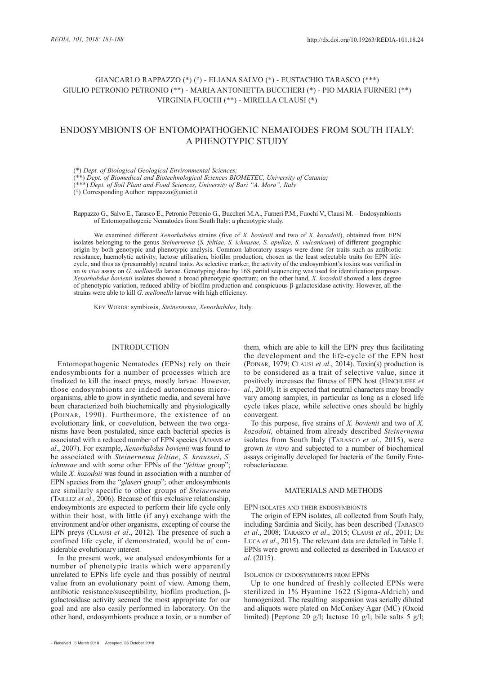## GIANCARLO RAPPAZZO (\*) (°) - ELIANA SALVO (\*) - EUSTACHIO TARASCO (\*\*\*) GIULIO PETRONIO PETRONIO (\*\*) - MARIA ANTONIETTA BUCCHERI (\*) - PIO MARIA FURNERI (\*\*) VIRGINIA FUOCHI (\*\*) - MIRELLA CLAUSI (\*)

# ENDOSYMBIONTS OF ENTOMOPATHOGENIC NEMATODES FROM SOUTH ITALY: A PHENOTYPIC STUDY

(\*) *Dept. of Biological Geological Environmental Sciences;* 

(\*\*) *Dept. of Biomedical and Biotechnological Sciences BIOMETEC, University of Catania;* 

(\*\*\*) *Dept. of Soil Plant and Food Sciences, University of Bari "A. Moro", Italy* 

(°) Corresponding Author: rappazzo@unict.it

Rappazzo G., Salvo E., Tarasco E., Petronio Petronio G., Buccheri M.A., Furneri P.M., Fuochi V., Clausi M. - Endosymbionts of Entomopathogenic Nematodes from South Italy: a phenotypic study.

We examined different *Xenorhabdus* strains (five of *X. bovienii* and two of *X. kozodoii*), obtained from EPN isolates belonging to the genus *Steinernema* (*S. feltiae, S. ichnusae, S. apuliae, S. vulcanicum*) of different geographic origin by both genotypic and phenotypic analysis. Common laboratory assays were done for traits such as antibiotic resistance, haemolytic activity, lactose utilisation, biofilm production, chosen as the least selectable traits for EPN lifecycle, and thus as (presumably) neutral traits. As selective marker, the activity of the endosymbiont's toxins was verified in an *in vivo* assay on *G. mellonella* larvae. Genotyping done by 16S partial sequencing was used for identification purposes. *Xenorhabdus bovienii* isolates showed a broad phenotypic spectrum; on the other hand, *X. kozodoii* showed a less degree of phenotypic variation, reduced ability of biofilm production and conspicuous β-galactosidase activity. However, all the strains were able to kill *G. mellonella* larvae with high efficiency.

KEY WORDS: symbiosis, *Steinernema*, *Xenorhabdus*, Italy.

## INTRODUCTION

Entomopathogenic Nematodes (EPNs) rely on their endosymbionts for a number of processes which are finalized to kill the insect preys, mostly larvae. However, those endosymbionts are indeed autonomous microorganisms, able to grow in synthetic media, and several have been characterized both biochemically and physiologically (POINAR, 1990). Furthermore, the existence of an evolutionary link, or coevolution, between the two organisms have been postulated, since each bacterial species is associated with a reduced number of EPN species (ADAMS *et al*., 2007). For example, *Xenorhabdus bovienii* was found to be associated with *Steinernema feltiae*, *S. kraussei*, *S. ichnusae* and with some other EPNs of the "*feltiae* group"; while *X. kozodoii* was found in association with a number of EPN species from the "*glaseri* group"; other endosymbionts are similarly specific to other groups of *Steinernema* (TAILLEZ *et al*., 2006). Because of this exclusive relationship, endosymbionts are expected to perform their life cycle only within their host, with little (if any) exchange with the environment and/or other organisms, excepting of course the EPN preys (CLAUSI *et al*., 2012). The presence of such a confined life cycle, if demonstrated, would be of considerable evolutionary interest.

In the present work, we analysed endosymbionts for a number of phenotypic traits which were apparently unrelated to EPNs life cycle and thus possibly of neutral value from an evolutionary point of view. Among them, antibiotic resistance/susceptibility, biofilm production, βgalactosidase activity seemed the most appropriate for our goal and are also easily performed in laboratory. On the other hand, endosymbionts produce a toxin, or a number of

– Received 5 March 2018 Accepted 23 October 2018

them, which are able to kill the EPN prey thus facilitating the development and the life-cycle of the EPN host (POINAR, 1979; CLAUSI *et al*., 2014). Toxin(s) production is to be considered as a trait of selective value, since it positively increases the fitness of EPN host (HINCHLIFFE *et al*., 2010). It is expected that neutral characters may broadly vary among samples, in particular as long as a closed life cycle takes place, while selective ones should be highly convergent.

To this purpose, five strains of *X. bovienii* and two of *X. kozodoii,* obtained from already described *Steinernema* isolates from South Italy (TARASCO *et al*., 2015), were grown *in vitro* and subjected to a number of biochemical assays originally developed for bacteria of the family Enterobacteriaceae.

### MATERIALS AND METHODS

EPN ISOLATES AND THEIR ENDOSYMBIONTS

The origin of EPN isolates, all collected from South Italy, including Sardinia and Sicily, has been described (TARASCO *et al*., 2008; TARASCO *et al*., 2015; CLAUSI *et al*., 2011; DE LUCA *et al*., 2015). The relevant data are detailed in Table 1. EPNs were grown and collected as described in TARASCO *et al*. (2015).

## ISOLATION OF ENDOSYMBIONTS FROM EPNS

Up to one hundred of freshly collected EPNs were sterilized in 1% Hyamine 1622 (Sigma-Aldrich) and homogenized. The resulting suspension was serially diluted and aliquots were plated on McConkey Agar (MC) (Oxoid limited) [Peptone 20 g/l; lactose 10 g/l; bile salts 5 g/l;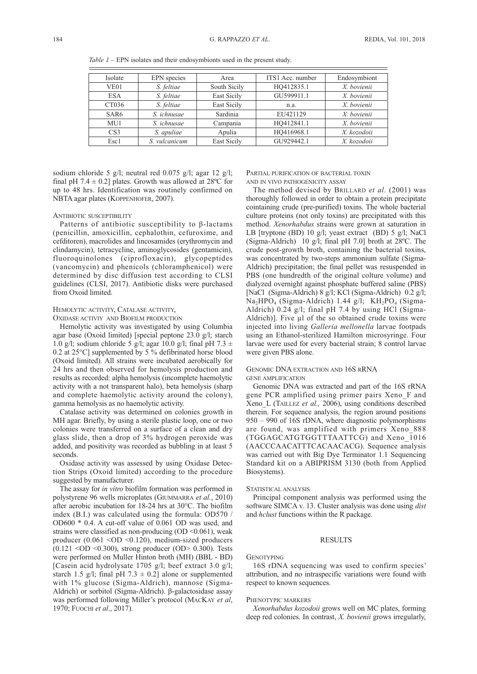*Table 1* – EPN isolates and their endosymbionts used in the present study.

| Isolate          | EPN species   | Area               | ITS1 Acc. number | Endosymbiont |
|------------------|---------------|--------------------|------------------|--------------|
| VE01             | S. feltiae    | South Sicily       | HO412835.1       | X. bovienii  |
| <b>ESA</b>       | S. feltiae    | <b>East Sicily</b> | GU599911.1       | X. hovienii  |
| CT036            | S. feltiae    | East Sicily        | n.a.             | X. bovienii  |
| SAR <sub>6</sub> | S. ichnusae   | Sardinia           | EU421129         | X. bovienii  |
| MU1              | S. ichnusae   | Campania           | HO412841.1       | X. bovienii  |
| CS <sub>3</sub>  | S. apuliae    | Apulia             | HO416968.1       | X. kozodoii  |
| Esc1             | S. vulcanicum | East Sicily        | GU929442.1       | X. kozodoii  |

sodium chloride 5 g/l; neutral red 0.075 g/l; agar 12 g/l; final pH 7.4  $\pm$  0.2] plates. Growth was allowed at 28<sup>o</sup>C for up to 48 hrs. Identification was routinely confirmed on NBTA agar plates (KOPPENHOFER, 2007).

## ANTIBIOTIC SUSCEPTIBILITY

Patterns of antibiotic susceptibility to β-lactams (penicillin, amoxicillin, cephalothin, cefuroxime, and cefditoren), macrolides and lincosamides (erythromycin and clindamycin), tetracycline, aminoglycosides (gentamicin), fluoroquinolones (ciprofloxacin), glycopeptides (vancomycin) and phenicols (chloramphenicol) were determined by disc diffusion test according to CLSI guidelines (CLSI, 2017). Antibiotic disks were purchased from Oxoid limited.

## HEMOLYTIC ACTIVITY, CATALASE ACTIVITY,

OXIDASE ACTIVIY AND BIOFILM PRODUCTION

Hemolytic activity was investigated by using Columbia agar base (Oxoid limited) [special peptone 23.0 g/l; starch 1.0 g/l; sodium chloride 5 g/l; agar 10.0 g/l; final pH 7.3  $\pm$ 0.2 at 25°C] supplemented by 5 % defibrinated horse blood (Oxoid limited). All strains were incubated aerobically for 24 hrs and then observed for hemolysis production and results as recorded: alpha hemolysis (incomplete haemolytic activity with a not transparent halo), beta hemolysis (sharp and complete haemolytic activity around the colony), gamma hemolysis as no haemolytic activity.

Catalase activity was determined on colonies growth in MH agar. Briefly, by using a sterile plastic loop, one or two colonies were transferred on a surface of a clean and dry glass slide, then a drop of 3% hydrogen peroxide was added, and positivity was recorded as bubbling in at least 5 seconds.

Oxidase activity was assessed by using Oxidase Detec tion Strips (Oxoid limited) according to the procedure suggested by manufacturer.

The assay for *in vitro* biofilm formation was performed in polystyrene 96 wells microplates (GIUMMARRA *et al.*, 2010) after aerobic incubation for 18-24 hrs at 30°C. The biofilm index (B.I.) was calculated using the formula: OD570 / OD600 \* 0.4. A cut-off value of 0.061 OD was used, and strains were classified as non-producing  $OD < 0.061$ , weak producer (0.061 <OD <0.120), medium-sized producers  $(0.121 \leq CD \leq 0.300)$ , strong producer  $(OD > 0.300)$ . Tests were performed on Muller Hinton broth (MH) (BBL - BD) [Casein acid hydrolysate 1705 g/l; beef extract 3.0 g/l; starch 1.5 g/l; final pH 7.3  $\pm$  0.2] alone or supplemented with 1% glucose (Sigma-Aldrich), mannose (Sigma-Aldrich) or sorbitol (Sigma-Aldrich). β-galactosidase assay was performed following Miller's protocol (MACKAY *et al*, 1970; FUOCHI *et al*., 2017).

## PARTIAL PURIFICATION OF BACTERIAL TOXIN AND IN VIVO PATHOGENICITY ASSAY

The method devised by BRILLARD *et al*. (2001) was thoroughly followed in order to obtain a protein precipitate cointaining crude (pre-purified) toxins. The whole bacterial culture proteins (not only toxins) are precipitated with this method. *Xenorhabdus* strains were grown at saturation in LB [tryptone (BD) 10 g/l; yeast extract (BD) 5 g/l; NaCl (Sigma-Aldrich) 10 g/l; final pH 7.0] broth at 28ºC. The crude post-growth broth, containing the bacterial toxins, was concentrated by two-steps ammonium sulfate (Sigma-Aldrich) precipitation; the final pellet was resuspended in PBS (one hundredth of the original colture volume) and dialyzed overnight against phosphate buffered saline (PBS) [NaCl (Sigma-Aldrich) 8 g/l; KCl (Sigma-Aldrich) 0.2 g/l; Na<sub>2</sub>HPO<sub>4</sub> (Sigma-Aldrich) 1.44 g/l; KH<sub>2</sub>PO<sub>4</sub> (Sigma-Aldrich) 0.24 g/l; final pH 7.4 by using HCl (Sigma-Aldrich)]. Five  $\mu$ l of the so obtained crude toxins were injected into living *Galleria mellonella* larvae footpads using an Ethanol-sterilized Hamilton microsyringe. Four larvae were used for every bacterial strain; 8 control larvae were given PBS alone.

## GENOMIC DNA EXTRACTION AND 16S RRNA

GENE AMPLIFICATION

Genomic DNA was extracted and part of the 16S rRNA gene PCR amplified using primer pairs Xeno\_F and Xeno\_L (TAILLEZ *et al.,* 2006), using conditions described therein. For sequence analysis, the region around positions 950 – 990 of 16S rDNA, where diagnostic polymorphisms are found, was amplified with primers Xeno\_888 (TGGAGCATGTGGTTTAATTCG) and Xeno\_1016 (AACCCAACATTTCACAACACG). Sequence analysis was carried out with Big Dye Terminator 1.1 Sequencing Standard kit on a ABIPRISM 3130 (both from Applied Biosystems).

#### STATISTICAL ANALYSIS

Principal component analysis was performed using the software SIMCA v. 13. Cluster analysis was done using *dist* and *hclust* functions within the R package.

### RESULTS

#### **GENOTYPING**

16S rDNA sequencing was used to confirm species' attribution, and no intraspecific variations were found with respect to known sequences.

## PHENOTYPIC MARKERS

*Xenorhabdus kozodoii* grows well on MC plates, forming deep red colonies. In contrast, *X. bovienii* grows irregularly,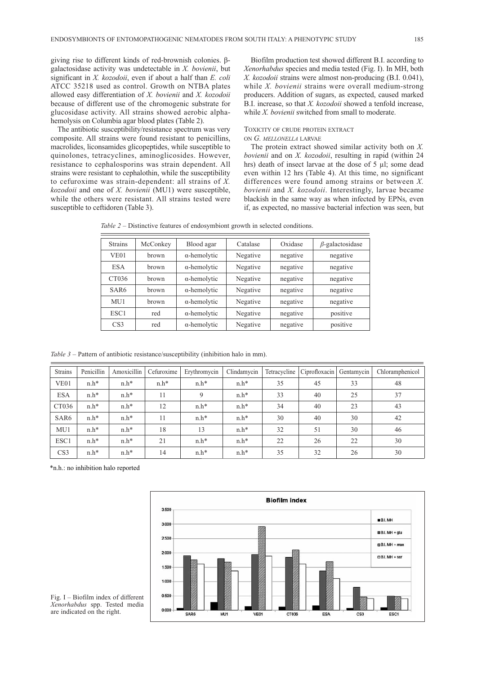giving rise to different kinds of red-brownish colonies. βgalactosidase activity was undetectable in *X. bovienii*, but significant in *X. kozodoii*, even if about a half than *E. coli* ATCC 35218 used as control. Growth on NTBA plates allowed easy differentiation of *X. bovienii* and *X. kozodoii* because of different use of the chromogenic substrate for glucosidase activity. All strains showed aerobic alphahemolysis on Columbia agar blood plates (Table 2).

The antibiotic susceptibility/resistance spectrum was very composite. All strains were found resistant to penicillins, macrolides, liconsamides glicopeptides, while susceptible to quinolones, tetracyclines, aminoglicosides. However, resistance to cephalosporins was strain dependent. All strains were resistant to cephalothin, while the susceptibility to cefuroxime was strain-dependent: all strains of *X. kozodoii* and one of *X. bovienii* (MU1) were susceptible, while the others were resistant. All strains tested were susceptible to ceftidoren (Table 3).

Biofilm production test showed different B.I. according to *Xenorhabdus* species and media tested (Fig. I). In MH, both *X. kozodoii* strains were almost non-producing (B.I. 0.041), while *X. bovienii* strains were overall medium-strong producers. Addition of sugars, as expected, caused marked B.I. increase, so that *X. kozodoii* showed a tenfold increase, while *X. bovienii* switched from small to moderate.

#### TOXICITY OF CRUDE PROTEIN EXTRACT ON *G. MELLONELLA* LARVAE

The protein extract showed similar activity both on *X. bovienii* and on *X. kozodoii*, resulting in rapid (within 24 hrs) death of insect larvae at the dose of 5 µl; some dead even within 12 hrs (Table 4). At this time, no significant differences were found among strains or between *X. bovienii* and *X. kozodoii*. Interestingly, larvae became blackish in the same way as when infected by EPNs, even if, as expected, no massive bacterial infection was seen, but

| <b>Strains</b>   | McConkey | Blood agar          | Catalase | Oxidase  | $\beta$ -galactosidase |  |
|------------------|----------|---------------------|----------|----------|------------------------|--|
| VE <sub>01</sub> | brown    | $\alpha$ -hemolytic | Negative | negative | negative               |  |
| <b>ESA</b>       | brown    | $\alpha$ -hemolytic | Negative | negative | negative               |  |
| CT036            | brown    | $\alpha$ -hemolytic | Negative | negative | negative               |  |
| SAR6             | brown    | $\alpha$ -hemolytic | Negative | negative | negative               |  |
| MU1              | brown    | $\alpha$ -hemolytic | Negative | negative | negative               |  |
| ESC <sub>1</sub> | red      | $\alpha$ -hemolytic | Negative | negative | positive               |  |
| CS <sub>3</sub>  | red      | $\alpha$ -hemolytic | Negative | negative | positive               |  |

*Table 2* – Distinctive features of endosymbiont growth in selected conditions.

*Table 3* – Pattern of antibiotic resistance/susceptibility (inhibition halo in mm).

| <b>Strains</b>   | Penicillin | Amoxicillin | Cefuroxime | Erythromycin | Clindamycin | Tetracycline | Ciprofloxacin | Gentamycin | Chloramphenicol |
|------------------|------------|-------------|------------|--------------|-------------|--------------|---------------|------------|-----------------|
| VE <sub>01</sub> | $n.h*$     | $n.h*$      | $n.h*$     | $n.h*$       | $n.h*$      | 35           | 45            | 33         | 48              |
| <b>ESA</b>       | $n.h*$     | $n.h*$      | 11         | 9            | $n.h*$      | 33           | 40            | 25         | 37              |
| CT036            | $n.h*$     | $n.h*$      | 12         | $n.h*$       | $n.h*$      | 34           | 40            | 23         | 43              |
| SAR <sub>6</sub> | $n.h*$     | $n.h*$      | 11         | $n.h*$       | $n.h*$      | 30           | 40            | 30         | 42              |
| MU1              | $n.h*$     | $n.h*$      | 18         | 13           | $n.h*$      | 32           | 51            | 30         | 46              |
| ESC1             | $n.h*$     | $n.h*$      | 21         | $n.h*$       | $n.h*$      | 22           | 26            | 22         | 30              |
| CS <sub>3</sub>  | $n.h*$     | $n.h*$      | 14         | $n.h*$       | $n.h*$      | 35           | 32            | 26         | 30              |

\*n.h.: no inhibition halo reported



Fig. I – Biofilm index of different *Xenorhabdus* spp. Tested media are indicated on the right.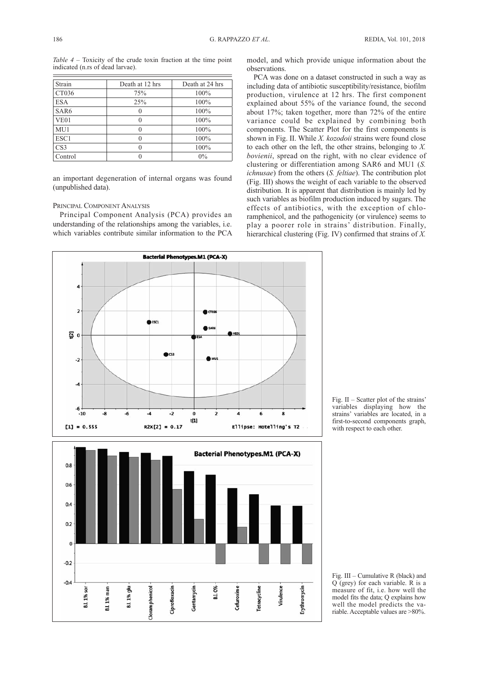*Table 4* – Toxicity of the crude toxin fraction at the time point indicated (n.rs of dead larvae).

| Strain           | Death at 12 hrs | Death at 24 hrs |
|------------------|-----------------|-----------------|
| CT036            | 75%             | 100%            |
| <b>ESA</b>       | 25%             | 100%            |
| SAR <sub>6</sub> | 0               | 100%            |
| VE01             |                 | 100%            |
| MU1              | O               | 100%            |
| ESC1             |                 | 100%            |
| CS <sub>3</sub>  |                 | 100%            |
| Control          |                 | $0\%$           |

an important degeneration of internal organs was found (unpublished data).

## PRINCIPAL COMPONENT ANALYSIS

Principal Component Analysis (PCA) provides an understanding of the relationships among the variables, i.e. which variables contribute similar information to the PCA model, and which provide unique information about the observations.

PCA was done on a dataset constructed in such a way as including data of antibiotic susceptibility/resistance, biofilm production, virulence at 12 hrs. The first component explained about 55% of the variance found, the second about 17%; taken together, more than 72% of the entire variance could be explained by combining both components. The Scatter Plot for the first components is shown in Fig. II. While *X. kozodoii* strains were found close to each other on the left, the other strains, belonging to *X. bovienii*, spread on the right, with no clear evidence of clustering or differentiation among SAR6 and MU1 (*S. ichnusae*) from the others (*S. feltiae*). The contribution plot (Fig. III) shows the weight of each variable to the observed distribution. It is apparent that distribution is mainly led by such variables as biofilm production induced by sugars. The effects of antibiotics, with the exception of chloramphenicol, and the pathogenicity (or virulence) seems to play a poorer role in strains' distribution. Finally, hierarchical clustering (Fig. IV) confirmed that strains of *X.*



Fig. II – Scatter plot of the strains' variables displaying how the strains' variables are located, in a first-to-second components graph, with respect to each other.

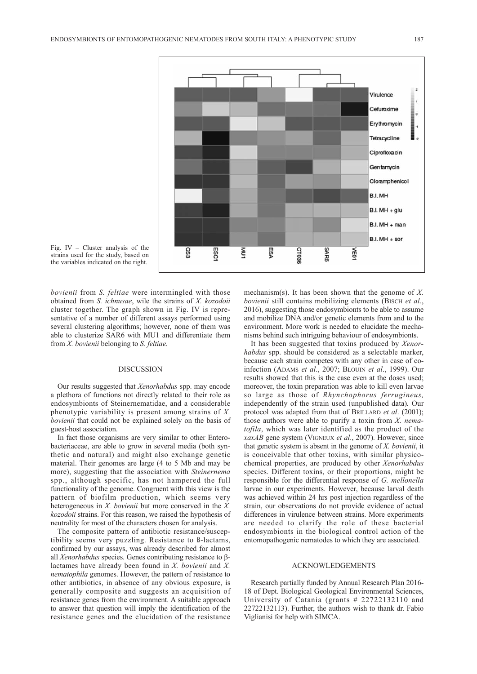



*bovienii* from *S. feltiae* were intermingled with those obtained from *S. ichnusae*, wile the strains of *X. kozodoii* cluster together. The graph shown in Fig. IV is representative of a number of different assays performed using several clustering algorithms; however, none of them was able to clusterize SAR6 with MU1 and differentiate them from *X. bovienii* belonging to *S. feltiae.* 

#### DISCUSSION

Our results suggested that *Xenorhabdus* spp. may encode a plethora of functions not directly related to their role as endosymbionts of Steinernematidae, and a considerable phenotypic variability is present among strains of *X. bovienii* that could not be explained solely on the basis of guest-host association.

In fact those organisms are very similar to other Enterobacteriaceae, are able to grow in several media (both synthetic and natural) and might also exchange genetic material. Their genomes are large (4 to 5 Mb and may be more), suggesting that the association with *Steinernema* spp., although specific, has not hampered the full functionality of the genome. Congruent with this view is the pattern of biofilm production, which seems very heterogeneous in *X. bovienii* but more conserved in the *X. kozodoii* strains. For this reason, we raised the hypothesis of neutrality for most of the characters chosen for analysis.

The composite pattern of antibiotic resistance/susceptibility seems very puzzling. Resistance to ß-lactams, confirmed by our assays, was already described for almost all *Xenorhabdus* species. Genes contributing resistance to βlactames have already been found in *X. bovienii* and *X. nematophila* genomes. However, the pattern of resistance to other antibiotics, in absence of any obvious exposure, is generally composite and suggests an acquisition of resistance genes from the environment. A suitable approach to answer that question will imply the identification of the resistance genes and the elucidation of the resistance

mechanism(s). It has been shown that the genome of *X. bovienii* still contains mobilizing elements (BISCH et al., 2016), suggesting those endosymbionts to be able to assume and mobilize DNA and/or genetic elements from and to the environment. More work is needed to elucidate the mechanisms behind such intriguing behaviour of endosymbionts.

It has been suggested that toxins produced by *Xenor habdus* spp. should be considered as a selectable marker, because each strain competes with any other in case of coinfection (ADAMS *et al*., 2007; BLOUIN *et al*., 1999). Our results showed that this is the case even at the doses used; moreover, the toxin preparation was able to kill even larvae so large as those of *Rhynchophorus ferrugineus,* independently of the strain used (unpublished data)*.* Our protocol was adapted from that of BRILLARD *et al*. (2001); those authors were able to purify a toxin from *X. nema tofila*, which was later identified as the product of the *xaxAB* gene system (VIGNEUX *et al*., 2007). However, since that genetic system is absent in the genome of *X. bovienii*, it is conceivable that other toxins, with similar physicochemical properties, are produced by other *Xenorhabdus* species. Different toxins, or their proportions, might be responsible for the differential response of *G. mellonella* larvae in our experiments. However, because larval death was achieved within 24 hrs post injection regardless of the strain, our observations do not provide evidence of actual differences in virulence between strains. More experiments are needed to clarify the role of these bacterial endosymbionts in the biological control action of the entomopathogenic nematodes to which they are associated.

## ACKNOWLEDGEMENTS

Research partially funded by Annual Research Plan 2016- 18 of Dept. Biological Geological Environmental Sciences, University of Catania (grants # 22722132110 and 22722132113). Further, the authors wish to thank dr. Fabio Viglianisi for help with SIMCA.